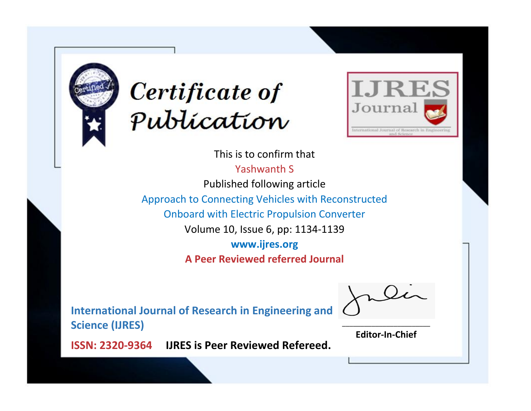



This is to confirm that Yashwanth S Published following article Approach to Connecting Vehicles with Reconstructed Onboard with Electric Propulsion Converter Volume 10, Issue 6, pp: 1134-1139 **www.ijres.org**

**A Peer Reviewed referred Journal**

**International Journal of Research in Engineering and Science (IJRES)**

\_\_\_\_\_\_\_\_\_\_\_\_\_\_\_\_\_\_\_\_\_\_\_\_ **Editor-In-Chief**

**Journal.**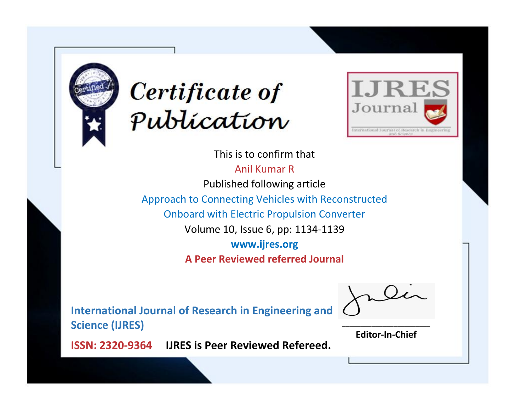



This is to confirm that Anil Kumar R Published following article Approach to Connecting Vehicles with Reconstructed Onboard with Electric Propulsion Converter Volume 10, Issue 6, pp: 1134-1139 **www.ijres.org A Peer Reviewed referred Journal**

**International Journal of Research in Engineering and Science (IJRES)**

\_\_\_\_\_\_\_\_\_\_\_\_\_\_\_\_\_\_\_\_\_\_\_\_ **Editor-In-Chief**

**Journal.**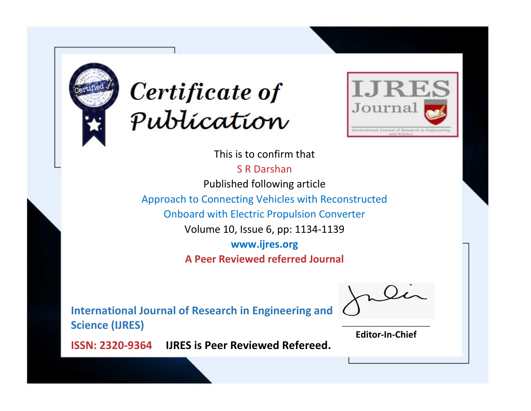



This is to confirm that S R Darshan

Published following article

Approach to Connecting Vehicles with Reconstructed

Onboard with Electric Propulsion Converter

Volume 10, Issue 6, pp: 1134-1139

**www.ijres.org**

**A Peer Reviewed referred Journal**

**International Journal of Research in Engineering and Science (IJRES)**

\_\_\_\_\_\_\_\_\_\_\_\_\_\_\_\_\_\_\_\_\_\_\_\_ **Editor-In-Chief**

**Journal.**